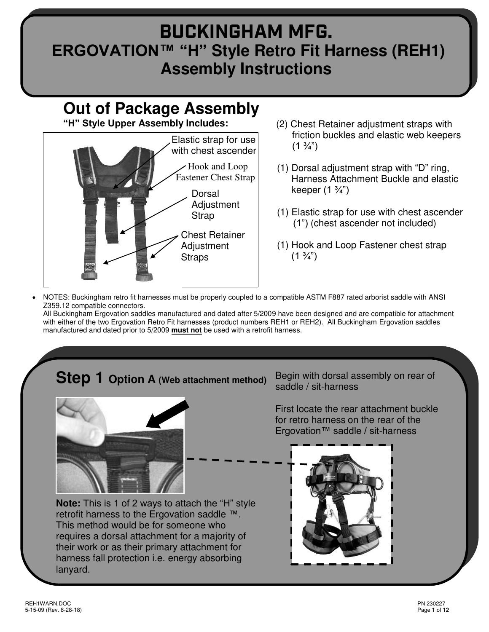# **BUCKINGHAM MFG. ERGOVATION™ "H" Style Retro Fit Harness (REH1) Assembly Instructions**

# **Out of Package Assembly**

**"H" Style Upper Assembly Includes:** 



- (2) Chest Retainer adjustment straps with friction buckles and elastic web keepers  $(1 \frac{3}{4})$
- (1) Dorsal adjustment strap with "D" ring, Harness Attachment Buckle and elastic keeper  $(1 \frac{3}{4})$
- (1) Elastic strap for use with chest ascender (1") (chest ascender not included)
- (1) Hook and Loop Fastener chest strap  $(1 \frac{3}{4})$
- NOTES: Buckingham retro fit harnesses must be properly coupled to a compatible ASTM F887 rated arborist saddle with ANSI Z359.12 compatible connectors.

All Buckingham Ergovation saddles manufactured and dated after 5/2009 have been designed and are compatible for attachment with either of the two Ergovation Retro Fit harnesses (product numbers REH1 or REH2). All Buckingham Ergovation saddles manufactured and dated prior to 5/2009 **must not** be used with a retrofit harness.

# **Step 1 Option A (Web attachment method)**



**Note:** This is 1 of 2 ways to attach the "H" style retrofit harness to the Ergovation saddle ™. This method would be for someone who requires a dorsal attachment for a majority of their work or as their primary attachment for harness fall protection i.e. energy absorbing lanyard.

Begin with dorsal assembly on rear of saddle / sit-harness

First locate the rear attachment buckle for retro harness on the rear of the Ergovation™ saddle / sit-harness

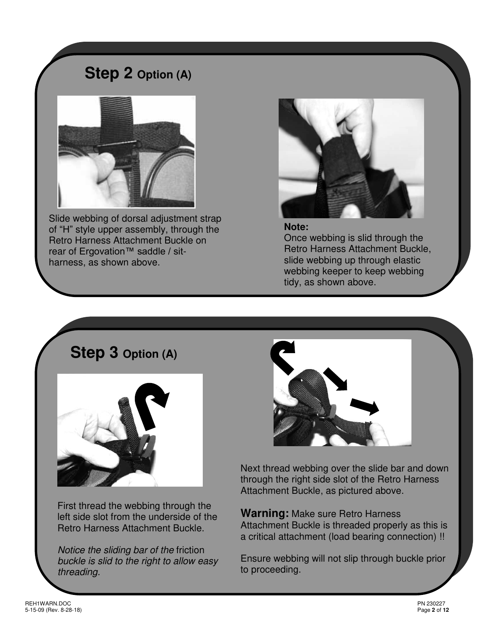## **Step 2 Option (A)**



Slide webbing of dorsal adjustment strap of "H" style upper assembly, through the Retro Harness Attachment Buckle on rear of Ergovation<sup>™</sup> saddle / sitharness, as shown above.



**Note:**  Once webbing is slid through the Retro Harness Attachment Buckle, slide webbing up through elastic webbing keeper to keep webbing tidy, as shown above.

# **Step 3 Option (A)**



First thread the webbing through the left side slot from the underside of the Retro Harness Attachment Buckle.

Notice the sliding bar of the friction buckle is slid to the right to allow easy threading.



Next thread webbing over the slide bar and down through the right side slot of the Retro Harness Attachment Buckle, as pictured above.

**Warning:** Make sure Retro Harness Attachment Buckle is threaded properly as this is a critical attachment (load bearing connection) !!

Ensure webbing will not slip through buckle prior to proceeding.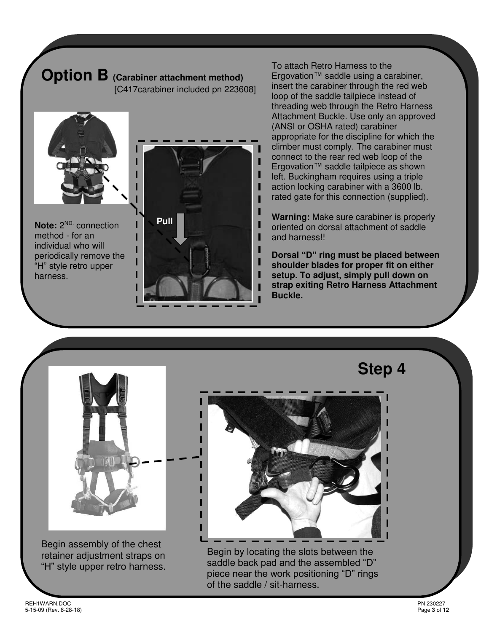# **Option B (Carabiner attachment method)**

[C417carabiner included pn 223608]



**Note:**  $2^{ND}$  connection method - for an individual who will periodically remove the "H" style retro upper harness.



To attach Retro Harness to the Ergovation™ saddle using a carabiner, insert the carabiner through the red web loop of the saddle tailpiece instead of threading web through the Retro Harness Attachment Buckle. Use only an approved (ANSI or OSHA rated) carabiner appropriate for the discipline for which the climber must comply. The carabiner must connect to the rear red web loop of the Ergovation™ saddle tailpiece as shown left. Buckingham requires using a triple action locking carabiner with a 3600 lb. rated gate for this connection (supplied).

**Warning:** Make sure carabiner is properly oriented on dorsal attachment of saddle and harness!!

**Dorsal "D" ring must be placed between shoulder blades for proper fit on either setup. To adjust, simply pull down on strap exiting Retro Harness Attachment Buckle.** 



Begin assembly of the chest retainer adjustment straps on "H" style upper retro harness. **Step 4** 

Begin by locating the slots between the saddle back pad and the assembled "D" piece near the work positioning "D" rings of the saddle / sit-harness.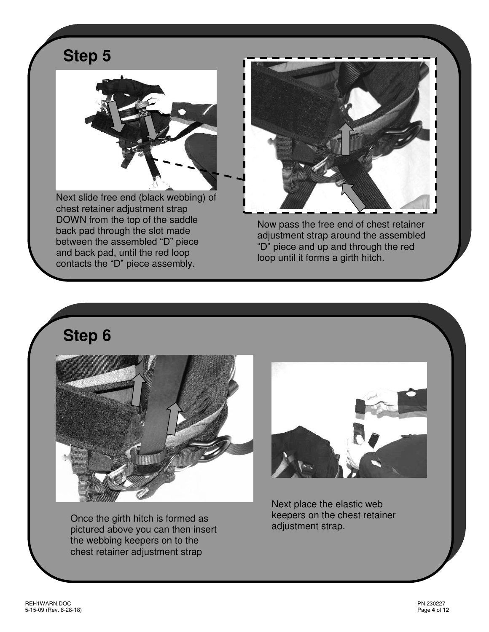# **Step 5**



Next slide free end (black webbing) of chest retainer adjustment strap DOWN from the top of the saddle back pad through the slot made between the assembled "D" piece and back pad, until the red loop contacts the "D" piece assembly.



Now pass the free end of chest retainer adjustment strap around the assembled "D" piece and up and through the red loop until it forms a girth hitch.

**Step 6** 



Once the girth hitch is formed as pictured above you can then insert the webbing keepers on to the chest retainer adjustment strap



Next place the elastic web keepers on the chest retainer adjustment strap.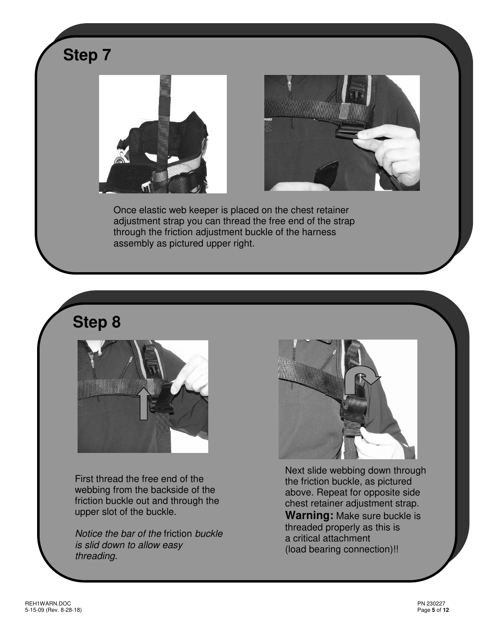

**Step 8** 



First thread the free end of the webbing from the backside of the friction buckle out and through the upper slot of the buckle.

Notice the bar of the friction buckle is slid down to allow easy threading.



Next slide webbing down through the friction buckle, as pictured above. Repeat for opposite side chest retainer adjustment strap. **Warning:** Make sure buckle is threaded properly as this is a critical attachment (load bearing connection)!!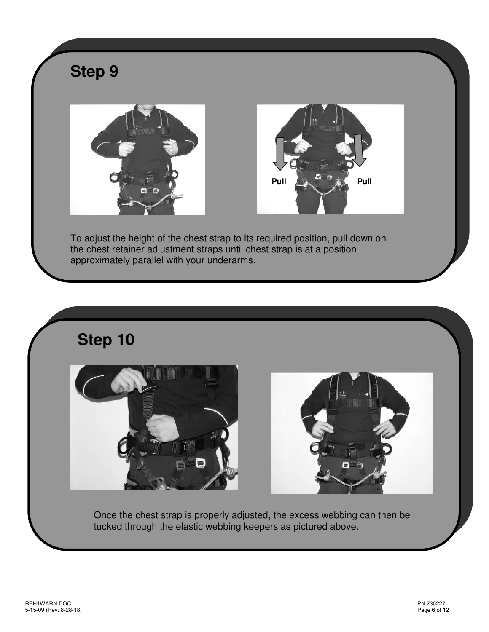

# **Step 10**





Once the chest strap is properly adjusted, the excess webbing can then be tucked through the elastic webbing keepers as pictured above.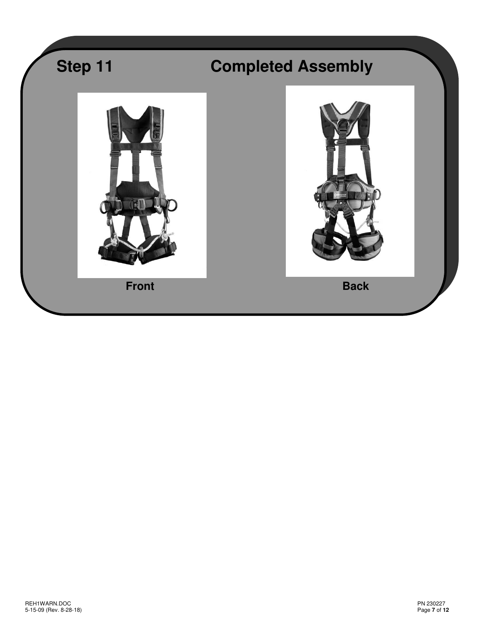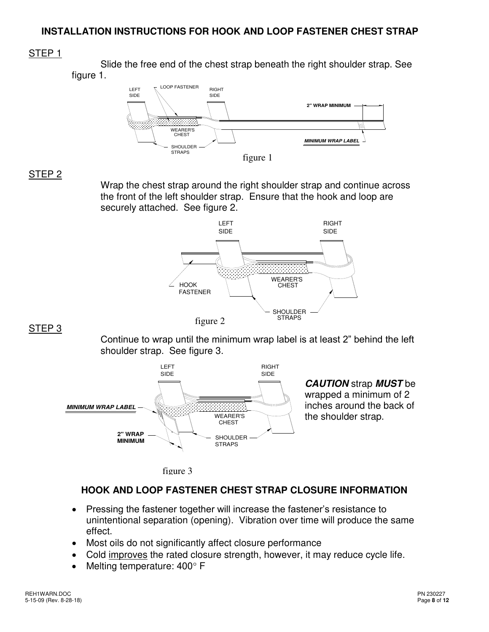#### **INSTALLATION INSTRUCTIONS FOR HOOK AND LOOP FASTENER CHEST STRAP**

#### STEP 1

 Slide the free end of the chest strap beneath the right shoulder strap. See figure 1.



#### STEP 2

Wrap the chest strap around the right shoulder strap and continue across the front of the left shoulder strap. Ensure that the hook and loop are securely attached. See figure 2.



#### STEP 3

Continue to wrap until the minimum wrap label is at least 2" behind the left shoulder strap. See figure 3.



**CAUTION** strap **MUST** be wrapped a minimum of 2 inches around the back of the shoulder strap.

```
figure 3
```
### **HOOK AND LOOP FASTENER CHEST STRAP CLOSURE INFORMATION**

- Pressing the fastener together will increase the fastener's resistance to unintentional separation (opening). Vibration over time will produce the same effect.
- Most oils do not significantly affect closure performance
- Cold improves the rated closure strength, however, it may reduce cycle life.
- Melting temperature:  $400^{\circ}$  F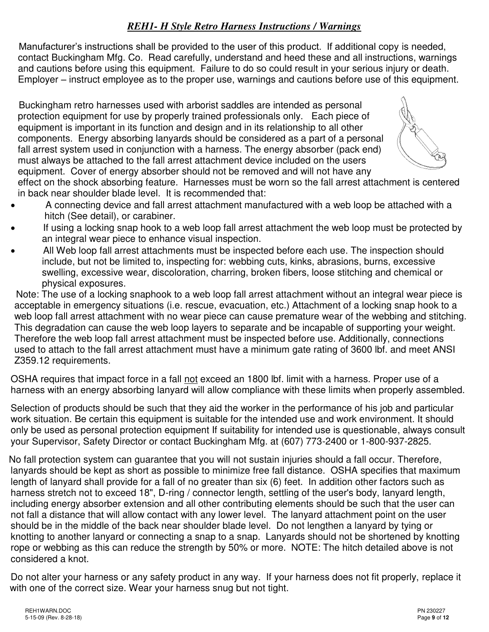### *REH1- H Style Retro Harness Instructions / Warnings*

 Manufacturer's instructions shall be provided to the user of this product. If additional copy is needed, contact Buckingham Mfg. Co. Read carefully, understand and heed these and all instructions, warnings and cautions before using this equipment. Failure to do so could result in your serious injury or death. Employer – instruct employee as to the proper use, warnings and cautions before use of this equipment.

 Buckingham retro harnesses used with arborist saddles are intended as personal protection equipment for use by properly trained professionals only. Each piece of equipment is important in its function and design and in its relationship to all other components. Energy absorbing lanyards should be considered as a part of a personal fall arrest system used in conjunction with a harness. The energy absorber (pack end) must always be attached to the fall arrest attachment device included on the users equipment. Cover of energy absorber should not be removed and will not have any



effect on the shock absorbing feature. Harnesses must be worn so the fall arrest attachment is centered in back near shoulder blade level. It is recommended that:

- A connecting device and fall arrest attachment manufactured with a web loop be attached with a hitch (See detail), or carabiner.
- If using a locking snap hook to a web loop fall arrest attachment the web loop must be protected by an integral wear piece to enhance visual inspection.
- All Web loop fall arrest attachments must be inspected before each use. The inspection should include, but not be limited to, inspecting for: webbing cuts, kinks, abrasions, burns, excessive swelling, excessive wear, discoloration, charring, broken fibers, loose stitching and chemical or physical exposures.

 Note: The use of a locking snaphook to a web loop fall arrest attachment without an integral wear piece is acceptable in emergency situations (i.e. rescue, evacuation, etc.) Attachment of a locking snap hook to a web loop fall arrest attachment with no wear piece can cause premature wear of the webbing and stitching. This degradation can cause the web loop layers to separate and be incapable of supporting your weight. Therefore the web loop fall arrest attachment must be inspected before use. Additionally, connections used to attach to the fall arrest attachment must have a minimum gate rating of 3600 lbf. and meet ANSI Z359.12 requirements.

OSHA requires that impact force in a fall not exceed an 1800 lbf. limit with a harness. Proper use of a harness with an energy absorbing lanyard will allow compliance with these limits when properly assembled.

Selection of products should be such that they aid the worker in the performance of his job and particular work situation. Be certain this equipment is suitable for the intended use and work environment. It should only be used as personal protection equipment If suitability for intended use is questionable, always consult your Supervisor, Safety Director or contact Buckingham Mfg. at (607) 773-2400 or 1-800-937-2825.

 No fall protection system can guarantee that you will not sustain injuries should a fall occur. Therefore, lanyards should be kept as short as possible to minimize free fall distance. OSHA specifies that maximum length of lanyard shall provide for a fall of no greater than six (6) feet. In addition other factors such as harness stretch not to exceed 18", D-ring / connector length, settling of the user's body, lanyard length, including energy absorber extension and all other contributing elements should be such that the user can not fall a distance that will allow contact with any lower level. The lanyard attachment point on the user should be in the middle of the back near shoulder blade level. Do not lengthen a lanyard by tying or knotting to another lanyard or connecting a snap to a snap. Lanyards should not be shortened by knotting rope or webbing as this can reduce the strength by 50% or more. NOTE: The hitch detailed above is not considered a knot.

 Do not alter your harness or any safety product in any way. If your harness does not fit properly, replace it with one of the correct size. Wear your harness snug but not tight.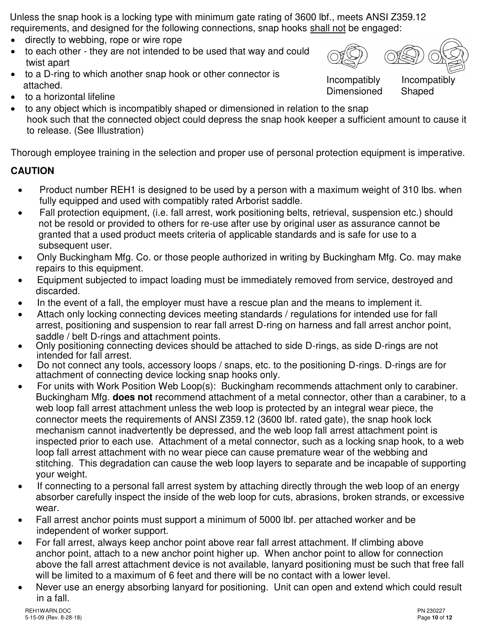Unless the snap hook is a locking type with minimum gate rating of 3600 lbf., meets ANSI Z359.12 requirements, and designed for the following connections, snap hooks shall not be engaged:

- directly to webbing, rope or wire rope
- to each other they are not intended to be used that way and could twist apart
- to a D-ring to which another snap hook or other connector is attached.



Incompatibly Incompatibly Dimensioned Shaped

- to a horizontal lifeline
- to any object which is incompatibly shaped or dimensioned in relation to the snap hook such that the connected object could depress the snap hook keeper a sufficient amount to cause it to release. (See Illustration)

Thorough employee training in the selection and proper use of personal protection equipment is imperative.

## **CAUTION**

- Product number REH1 is designed to be used by a person with a maximum weight of 310 lbs. when fully equipped and used with compatibly rated Arborist saddle.
- Fall protection equipment, (i.e. fall arrest, work positioning belts, retrieval, suspension etc.) should not be resold or provided to others for re-use after use by original user as assurance cannot be granted that a used product meets criteria of applicable standards and is safe for use to a subsequent user.
- Only Buckingham Mfg. Co. or those people authorized in writing by Buckingham Mfg. Co. may make repairs to this equipment.
- Equipment subjected to impact loading must be immediately removed from service, destroyed and discarded.
- In the event of a fall, the employer must have a rescue plan and the means to implement it.
- Attach only locking connecting devices meeting standards / regulations for intended use for fall arrest, positioning and suspension to rear fall arrest D-ring on harness and fall arrest anchor point, saddle / belt D-rings and attachment points.
- Only positioning connecting devices should be attached to side D-rings, as side D-rings are not intended for fall arrest.
- Do not connect any tools, accessory loops / snaps, etc. to the positioning D-rings. D-rings are for attachment of connecting device locking snap hooks only.
- For units with Work Position Web Loop(s): Buckingham recommends attachment only to carabiner. Buckingham Mfg. **does not** recommend attachment of a metal connector, other than a carabiner, to a web loop fall arrest attachment unless the web loop is protected by an integral wear piece, the connector meets the requirements of ANSI Z359.12 (3600 lbf. rated gate), the snap hook lock mechanism cannot inadvertently be depressed, and the web loop fall arrest attachment point is inspected prior to each use. Attachment of a metal connector, such as a locking snap hook, to a web loop fall arrest attachment with no wear piece can cause premature wear of the webbing and stitching. This degradation can cause the web loop layers to separate and be incapable of supporting your weight.
- If connecting to a personal fall arrest system by attaching directly through the web loop of an energy absorber carefully inspect the inside of the web loop for cuts, abrasions, broken strands, or excessive wear.
- Fall arrest anchor points must support a minimum of 5000 lbf. per attached worker and be independent of worker support.
- For fall arrest, always keep anchor point above rear fall arrest attachment. If climbing above anchor point, attach to a new anchor point higher up. When anchor point to allow for connection above the fall arrest attachment device is not available, lanyard positioning must be such that free fall will be limited to a maximum of 6 feet and there will be no contact with a lower level.
- Never use an energy absorbing lanyard for positioning. Unit can open and extend which could result in a fall.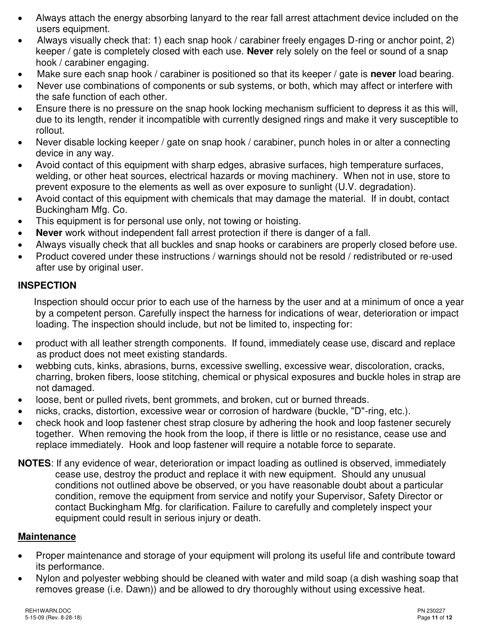- Always attach the energy absorbing lanyard to the rear fall arrest attachment device included on the users equipment.
- Always visually check that: 1) each snap hook / carabiner freely engages D-ring or anchor point, 2) keeper / gate is completely closed with each use. **Never** rely solely on the feel or sound of a snap hook / carabiner engaging.
- Make sure each snap hook / carabiner is positioned so that its keeper / gate is **never** load bearing.
- Never use combinations of components or sub systems, or both, which may affect or interfere with the safe function of each other.
- Ensure there is no pressure on the snap hook locking mechanism sufficient to depress it as this will, due to its length, render it incompatible with currently designed rings and make it very susceptible to rollout.
- Never disable locking keeper / gate on snap hook / carabiner, punch holes in or alter a connecting device in any way.
- Avoid contact of this equipment with sharp edges, abrasive surfaces, high temperature surfaces, welding, or other heat sources, electrical hazards or moving machinery. When not in use, store to prevent exposure to the elements as well as over exposure to sunlight (U.V. degradation).
- Avoid contact of this equipment with chemicals that may damage the material. If in doubt, contact Buckingham Mfg. Co.
- This equipment is for personal use only, not towing or hoisting.
- **Never** work without independent fall arrest protection if there is danger of a fall.
- Always visually check that all buckles and snap hooks or carabiners are properly closed before use.
- Product covered under these instructions / warnings should not be resold / redistributed or re-used after use by original user.

#### **INSPECTION**

Inspection should occur prior to each use of the harness by the user and at a minimum of once a year by a competent person. Carefully inspect the harness for indications of wear, deterioration or impact loading. The inspection should include, but not be limited to, inspecting for:

- product with all leather strength components. If found, immediately cease use, discard and replace as product does not meet existing standards.
- webbing cuts, kinks, abrasions, burns, excessive swelling, excessive wear, discoloration, cracks, charring, broken fibers, loose stitching, chemical or physical exposures and buckle holes in strap are not damaged.
- loose, bent or pulled rivets, bent grommets, and broken, cut or burned threads.
- nicks, cracks, distortion, excessive wear or corrosion of hardware (buckle, "D"-ring, etc.).
- check hook and loop fastener chest strap closure by adhering the hook and loop fastener securely together. When removing the hook from the loop, if there is little or no resistance, cease use and replace immediately. Hook and loop fastener will require a notable force to separate.
- **NOTES**: If any evidence of wear, deterioration or impact loading as outlined is observed, immediately cease use, destroy the product and replace it with new equipment. Should any unusual conditions not outlined above be observed, or you have reasonable doubt about a particular condition, remove the equipment from service and notify your Supervisor, Safety Director or contact Buckingham Mfg. for clarification. Failure to carefully and completely inspect your equipment could result in serious injury or death.

### **Maintenance**

- Proper maintenance and storage of your equipment will prolong its useful life and contribute toward its performance.
- Nylon and polyester webbing should be cleaned with water and mild soap (a dish washing soap that removes grease (i.e. Dawn)) and be allowed to dry thoroughly without using excessive heat.